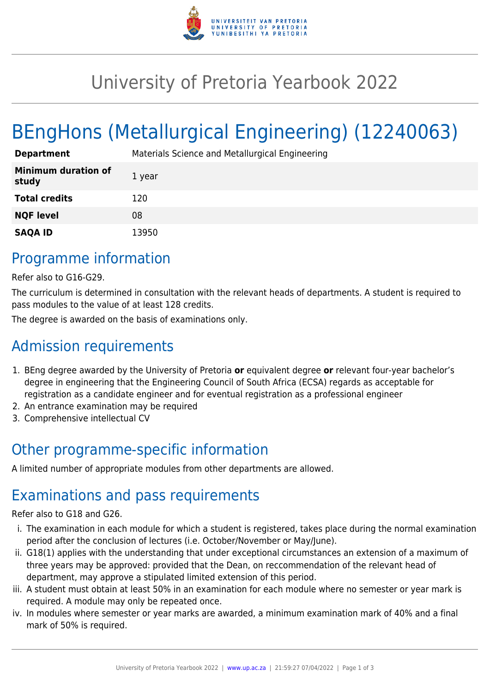

## University of Pretoria Yearbook 2022

# BEngHons (Metallurgical Engineering) (12240063)

| <b>Department</b>                   | Materials Science and Metallurgical Engineering |
|-------------------------------------|-------------------------------------------------|
| <b>Minimum duration of</b><br>study | 1 year                                          |
| <b>Total credits</b>                | 120                                             |
| <b>NQF level</b>                    | 08                                              |
| <b>SAQA ID</b>                      | 13950                                           |

#### Programme information

Refer also to G16-G29.

The curriculum is determined in consultation with the relevant heads of departments. A student is required to pass modules to the value of at least 128 credits.

The degree is awarded on the basis of examinations only.

## Admission requirements

- 1. BEng degree awarded by the University of Pretoria **or** equivalent degree **or** relevant four-year bachelor's degree in engineering that the Engineering Council of South Africa (ECSA) regards as acceptable for registration as a candidate engineer and for eventual registration as a professional engineer
- 2. An entrance examination may be required
- 3. Comprehensive intellectual CV

## Other programme-specific information

A limited number of appropriate modules from other departments are allowed.

#### Examinations and pass requirements

Refer also to G18 and G26.

- i. The examination in each module for which a student is registered, takes place during the normal examination period after the conclusion of lectures (i.e. October/November or May/June).
- ii. G18(1) applies with the understanding that under exceptional circumstances an extension of a maximum of three years may be approved: provided that the Dean, on reccommendation of the relevant head of department, may approve a stipulated limited extension of this period.
- iii. A student must obtain at least 50% in an examination for each module where no semester or year mark is required. A module may only be repeated once.
- iv. In modules where semester or year marks are awarded, a minimum examination mark of 40% and a final mark of 50% is required.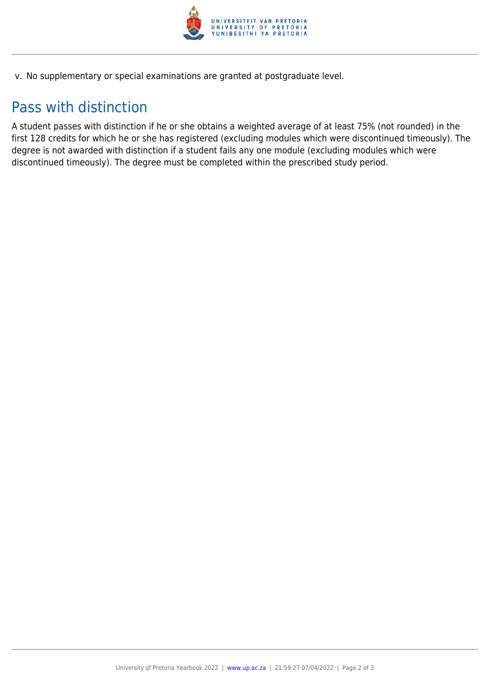

v. No supplementary or special examinations are granted at postgraduate level.

#### Pass with distinction

A student passes with distinction if he or she obtains a weighted average of at least 75% (not rounded) in the first 128 credits for which he or she has registered (excluding modules which were discontinued timeously). The degree is not awarded with distinction if a student fails any one module (excluding modules which were discontinued timeously). The degree must be completed within the prescribed study period.